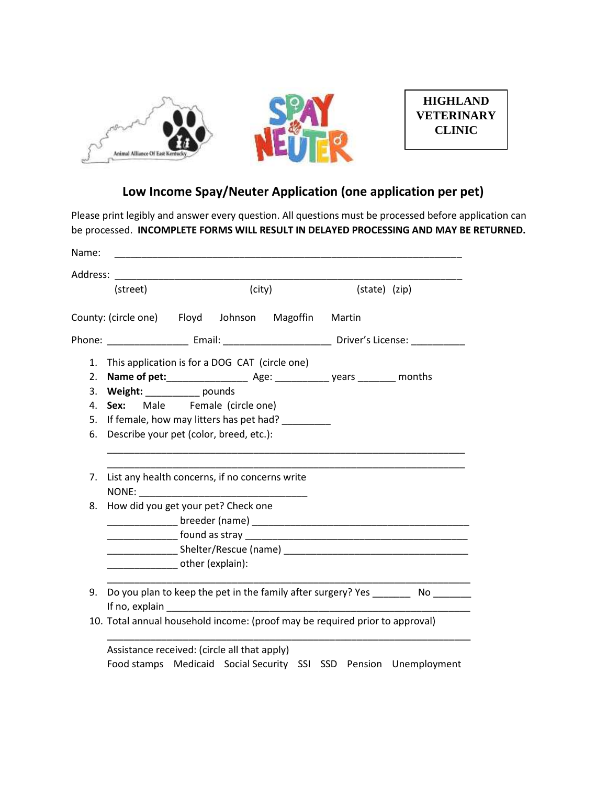

## **Low Income Spay/Neuter Application (one application per pet)**

Please print legibly and answer every question. All questions must be processed before application can be processed. **INCOMPLETE FORMS WILL RESULT IN DELAYED PROCESSING AND MAY BE RETURNED.**

| Address: |                                                                                                                   |  |        |  |  |               |  |
|----------|-------------------------------------------------------------------------------------------------------------------|--|--------|--|--|---------------|--|
|          | (street)                                                                                                          |  | (city) |  |  | (state) (zip) |  |
|          | County: (circle one) Floyd Johnson Magoffin Martin                                                                |  |        |  |  |               |  |
|          |                                                                                                                   |  |        |  |  |               |  |
| 1.       | This application is for a DOG CAT (circle one)                                                                    |  |        |  |  |               |  |
| 2.       |                                                                                                                   |  |        |  |  |               |  |
| 3.       | Weight: ____________ pounds                                                                                       |  |        |  |  |               |  |
| 4.       | Male Female (circle one)<br>Sex:                                                                                  |  |        |  |  |               |  |
| 5.       | If female, how may litters has pet had? ________                                                                  |  |        |  |  |               |  |
| 6.       | Describe your pet (color, breed, etc.):                                                                           |  |        |  |  |               |  |
| 7.       | List any health concerns, if no concerns write                                                                    |  |        |  |  |               |  |
|          |                                                                                                                   |  |        |  |  |               |  |
| 8.       | How did you get your pet? Check one                                                                               |  |        |  |  |               |  |
|          |                                                                                                                   |  |        |  |  |               |  |
|          |                                                                                                                   |  |        |  |  |               |  |
|          |                                                                                                                   |  |        |  |  |               |  |
|          | other (explain):                                                                                                  |  |        |  |  |               |  |
| 9.       | Do you plan to keep the pet in the family after surgery? Yes ___________ No ________                              |  |        |  |  |               |  |
|          |                                                                                                                   |  |        |  |  |               |  |
|          | 10. Total annual household income: (proof may be required prior to approval)                                      |  |        |  |  |               |  |
|          | Assistance received: (circle all that apply)<br>Food stamps Medicaid Social Security SSI SSD Pension Unemployment |  |        |  |  |               |  |
|          |                                                                                                                   |  |        |  |  |               |  |